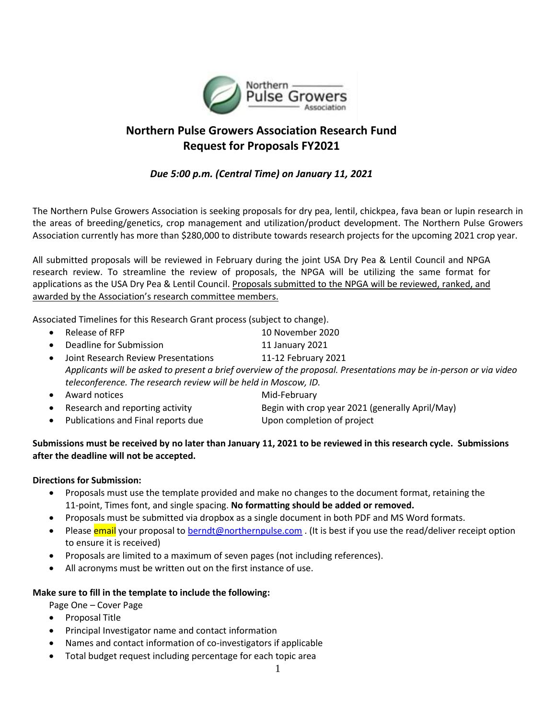

# **Northern Pulse Growers Association Research Fund Request for Proposals FY2021**

## *Due 5:00 p.m. (Central Time) on January 11, 2021*

The Northern Pulse Growers Association is seeking proposals for dry pea, lentil, chickpea, fava bean or lupin research in the areas of breeding/genetics, crop management and utilization/product development. The Northern Pulse Growers Association currently has more than \$280,000 to distribute towards research projects for the upcoming 2021 crop year.

All submitted proposals will be reviewed in February during the joint USA Dry Pea & Lentil Council and NPGA research review. To streamline the review of proposals, the NPGA will be utilizing the same format for applications as the USA Dry Pea & Lentil Council. Proposals submitted to the NPGA will be reviewed, ranked, and awarded by the Association's research committee members.

Associated Timelines for this Research Grant process (subject to change).

- Release of RFP 10 November 2020 **Deadline for Submission** 11 January 2021 • Joint Research Review Presentations 11-12 February 2021 *Applicants will be asked to present a brief overview of the proposal. Presentations may be in-person or via video teleconference. The research review will be held in Moscow, ID.* • Award notices Mid-February
- Research and reporting activity Begin with crop year 2021 (generally April/May)
- Publications and Final reports due Upon completion of project
- 

### **Submissions must be received by no later than January 11, 2021 to be reviewed in this research cycle. Submissions after the deadline will not be accepted.**

### **Directions for Submission:**

- Proposals must use the template provided and make no changes to the document format, retaining the 11-point, Times font, and single spacing. **No formatting should be added or removed.**
- Proposals must be submitted via dropbox as a single document in both PDF and MS Word formats.
- Please email your proposal t[o berndt@northernpulse.com](mailto:berndt@northernpulse.com) . (It is best if you use the read/deliver receipt option to ensure it is received)
- Proposals are limited to a maximum of seven pages (not including references).
- All acronyms must be written out on the first instance of use.

### **Make sure to fill in the template to include the following:**

Page One – Cover Page

- Proposal Title
- Principal Investigator name and contact information
- Names and contact information of co-investigators if applicable
- Total budget request including percentage for each topic area